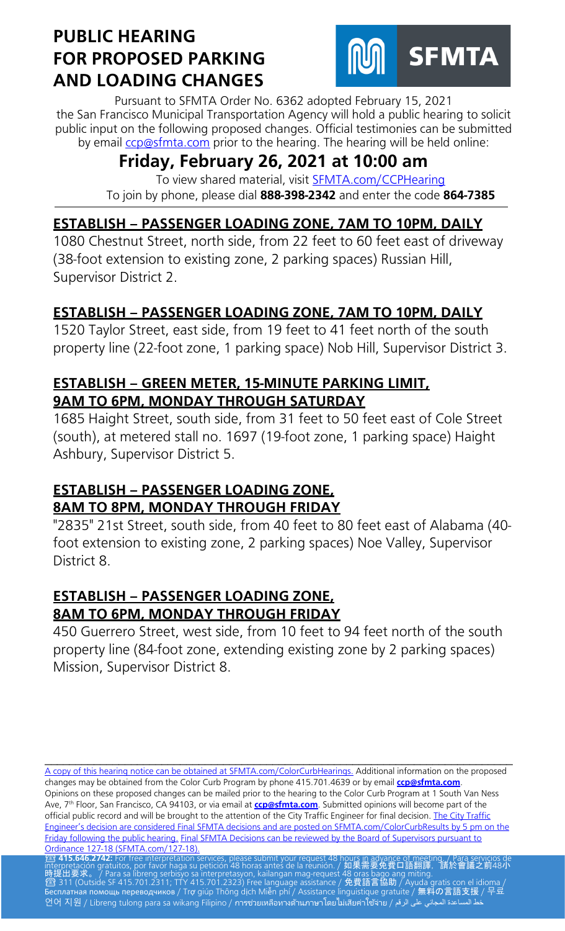## **PUBLIC HEARING FOR PROPOSED PARKING AND LOADING CHANGES**



Pursuant to SFMTA Order No. 6362 adopted February 15, 2021 the San Francisco Municipal Transportation Agency will hold a public hearing to solicit public input on the following proposed changes. Official testimonies can be submitted by email [ccp@sfmta.com](mailto:ccp@sfmta.com) prior to the hearing. The hearing will be held online:

# **Friday, February 26, 2021 at 10:00 am**

To view shared material, visit [SFMTA.com/CCPHearing](https://meet.sfmta.com/meetings/VQN4VLH3) To join by phone, please dial **888-398-2342** and enter the code **864-7385**

## **ESTABLISH – PASSENGER LOADING ZONE, 7AM TO 10PM, DAILY**

1080 Chestnut Street, north side, from 22 feet to 60 feet east of driveway (38-foot extension to existing zone, 2 parking spaces) Russian Hill, Supervisor District 2.

## **ESTABLISH – PASSENGER LOADING ZONE, 7AM TO 10PM, DAILY**

1520 Taylor Street, east side, from 19 feet to 41 feet north of the south property line (22-foot zone, 1 parking space) Nob Hill, Supervisor District 3.

#### **ESTABLISH – GREEN METER, 15-MINUTE PARKING LIMIT, 9AM TO 6PM, MONDAY THROUGH SATURDAY**

1685 Haight Street, south side, from 31 feet to 50 feet east of Cole Street (south), at metered stall no. 1697 (19-foot zone, 1 parking space) Haight Ashbury, Supervisor District 5.

## **ESTABLISH – PASSENGER LOADING ZONE, 8AM TO 8PM, MONDAY THROUGH FRIDAY**

"2835" 21st Street, south side, from 40 feet to 80 feet east of Alabama (40 foot extension to existing zone, 2 parking spaces) Noe Valley, Supervisor District 8.

#### **ESTABLISH – PASSENGER LOADING ZONE, 8AM TO 6PM, MONDAY THROUGH FRIDAY**

450 Guerrero Street, west side, from 10 feet to 94 feet north of the south property line (84-foot zone, extending existing zone by 2 parking spaces) Mission, Supervisor District 8.

\_\_\_\_\_\_\_\_\_\_\_\_\_\_\_\_\_\_\_\_\_\_\_\_\_\_\_\_\_\_\_\_\_\_\_\_\_\_\_\_\_\_\_\_\_\_\_\_\_\_\_\_\_\_\_\_\_\_\_\_\_\_\_\_\_\_\_\_\_\_\_\_\_\_\_\_ [A copy of this hearing notice can be obtained at SFMTA.com/ColorCurbHearings.](http://www.sfmta.com/ColorCurbHearings) Additional information on the proposed changes may be obtained from the Color Curb Program by phone 415.701.4639 or by email **[ccp@sfmta.com](mailto:ccp@sfmta.com)**. Opinions on these proposed changes can be mailed prior to the hearing to the Color Curb Program at 1 South Van Ness Ave, 7 th Floor, San Francisco, CA 94103, or via email at **[ccp@sfmta.com](mailto:ccp@sfmta.com)**. Submitted opinions will become part of the official public record and will be brought to the attention of the City Traffic Engineer for final decision. The City Traffic [Engineer's decision are considered Final SFMTA decisions and are posted on SFMTA.com/ColorCurbResults by 5 pm on the](http://www.sfmta.com/ColorCurbResults)  [Friday following the public hearing.](http://www.sfmta.com/ColorCurbResults) [Final SFMTA Decisions can be reviewed by the Board of Supervisors pursuant to](https://sfbos.org/sites/default/files/o0127-18.pdf) Ordinance 127-18 (SFMTA.com/127-18). O<mark>rdinance 127-18 (SFMTA.com/127-18).</mark><br>23 **415.646.2742:** For free interpretation services, please submit your request 48 hou<u>rs in advance of meet</u>ing. / Para servicios de